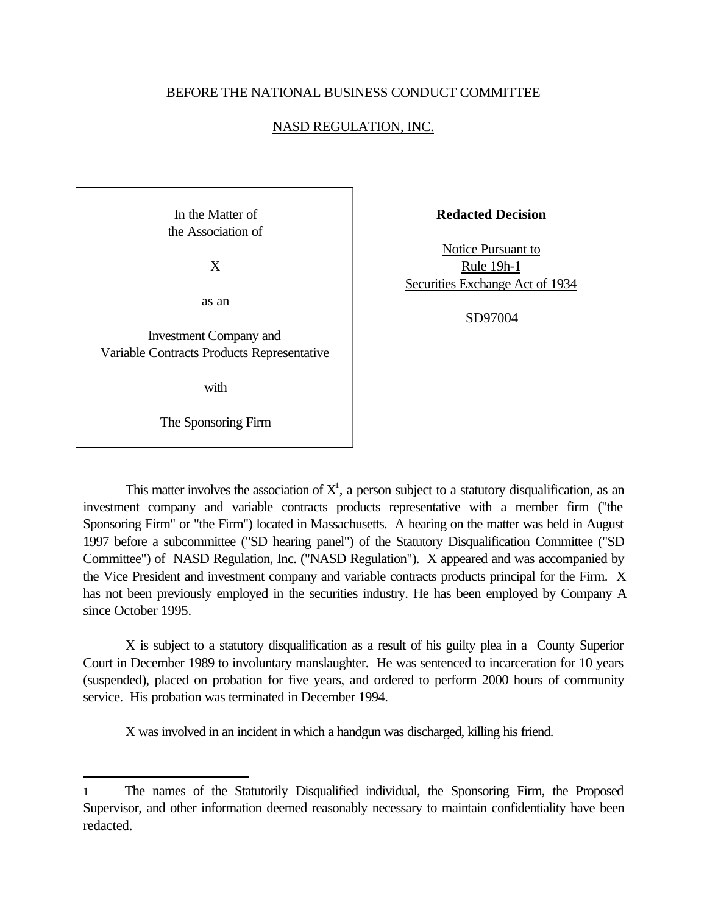## BEFORE THE NATIONAL BUSINESS CONDUCT COMMITTEE

## NASD REGULATION, INC.

In the Matter of the Association of

X

as an

Investment Company and Variable Contracts Products Representative

with

The Sponsoring Firm

l

**Redacted Decision**

Notice Pursuant to Rule 19h-1 Securities Exchange Act of 1934

## SD97004

This matter involves the association of  $X<sup>1</sup>$ , a person subject to a statutory disqualification, as an investment company and variable contracts products representative with a member firm ("the Sponsoring Firm" or "the Firm") located in Massachusetts. A hearing on the matter was held in August 1997 before a subcommittee ("SD hearing panel") of the Statutory Disqualification Committee ("SD Committee") of NASD Regulation, Inc. ("NASD Regulation"). X appeared and was accompanied by the Vice President and investment company and variable contracts products principal for the Firm. X has not been previously employed in the securities industry. He has been employed by Company A since October 1995.

X is subject to a statutory disqualification as a result of his guilty plea in a County Superior Court in December 1989 to involuntary manslaughter. He was sentenced to incarceration for 10 years (suspended), placed on probation for five years, and ordered to perform 2000 hours of community service. His probation was terminated in December 1994.

X was involved in an incident in which a handgun was discharged, killing his friend.

<sup>1</sup> The names of the Statutorily Disqualified individual, the Sponsoring Firm, the Proposed Supervisor, and other information deemed reasonably necessary to maintain confidentiality have been redacted.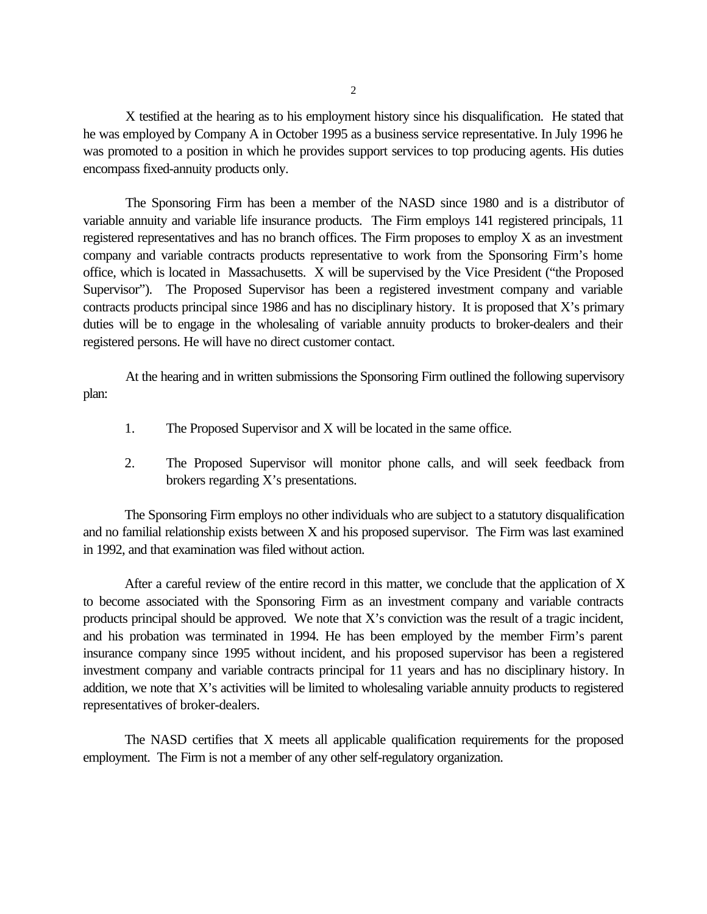X testified at the hearing as to his employment history since his disqualification. He stated that he was employed by Company A in October 1995 as a business service representative. In July 1996 he was promoted to a position in which he provides support services to top producing agents. His duties encompass fixed-annuity products only.

The Sponsoring Firm has been a member of the NASD since 1980 and is a distributor of variable annuity and variable life insurance products. The Firm employs 141 registered principals, 11 registered representatives and has no branch offices. The Firm proposes to employ X as an investment company and variable contracts products representative to work from the Sponsoring Firm's home office, which is located in Massachusetts. X will be supervised by the Vice President ("the Proposed Supervisor"). The Proposed Supervisor has been a registered investment company and variable contracts products principal since 1986 and has no disciplinary history. It is proposed that X's primary duties will be to engage in the wholesaling of variable annuity products to broker-dealers and their registered persons. He will have no direct customer contact.

At the hearing and in written submissions the Sponsoring Firm outlined the following supervisory plan:

- 1. The Proposed Supervisor and X will be located in the same office.
- 2. The Proposed Supervisor will monitor phone calls, and will seek feedback from brokers regarding X's presentations.

The Sponsoring Firm employs no other individuals who are subject to a statutory disqualification and no familial relationship exists between X and his proposed supervisor. The Firm was last examined in 1992, and that examination was filed without action.

After a careful review of the entire record in this matter, we conclude that the application of  $X$ to become associated with the Sponsoring Firm as an investment company and variable contracts products principal should be approved. We note that X's conviction was the result of a tragic incident, and his probation was terminated in 1994. He has been employed by the member Firm's parent insurance company since 1995 without incident, and his proposed supervisor has been a registered investment company and variable contracts principal for 11 years and has no disciplinary history. In addition, we note that X's activities will be limited to wholesaling variable annuity products to registered representatives of broker-dealers.

The NASD certifies that X meets all applicable qualification requirements for the proposed employment. The Firm is not a member of any other self-regulatory organization.